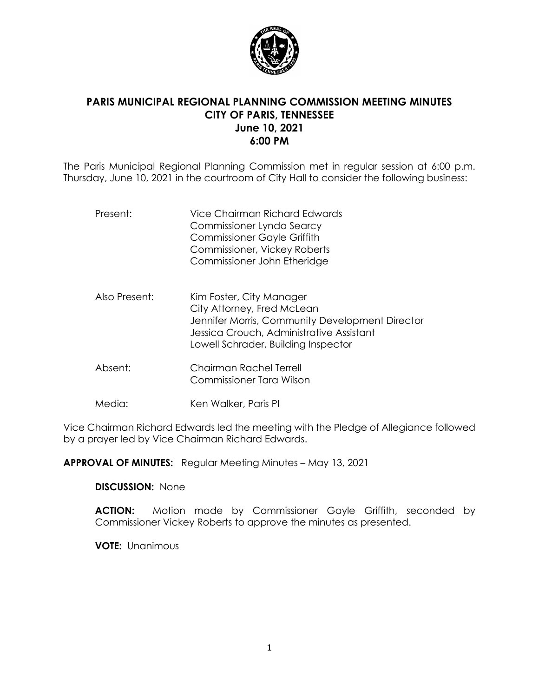

# **PARIS MUNICIPAL REGIONAL PLANNING COMMISSION MEETING MINUTES CITY OF PARIS, TENNESSEE June 10, 2021 6:00 PM**

The Paris Municipal Regional Planning Commission met in regular session at 6:00 p.m. Thursday, June 10, 2021 in the courtroom of City Hall to consider the following business:

| Present:      | Vice Chairman Richard Edwards<br>Commissioner Lynda Searcy<br><b>Commissioner Gayle Griffith</b><br><b>Commissioner, Vickey Roberts</b><br>Commissioner John Etheridge                       |
|---------------|----------------------------------------------------------------------------------------------------------------------------------------------------------------------------------------------|
| Also Present: | Kim Foster, City Manager<br>City Attorney, Fred McLean<br>Jennifer Morris, Community Development Director<br>Jessica Crouch, Administrative Assistant<br>Lowell Schrader, Building Inspector |

- Absent: Chairman Rachel Terrell Commissioner Tara Wilson
- Media: Ken Walker, Paris PI

Vice Chairman Richard Edwards led the meeting with the Pledge of Allegiance followed by a prayer led by Vice Chairman Richard Edwards.

**APPROVAL OF MINUTES:** Regular Meeting Minutes – May 13, 2021

### **DISCUSSION:** None

**ACTION:** Motion made by Commissioner Gayle Griffith, seconded by Commissioner Vickey Roberts to approve the minutes as presented.

**VOTE:** Unanimous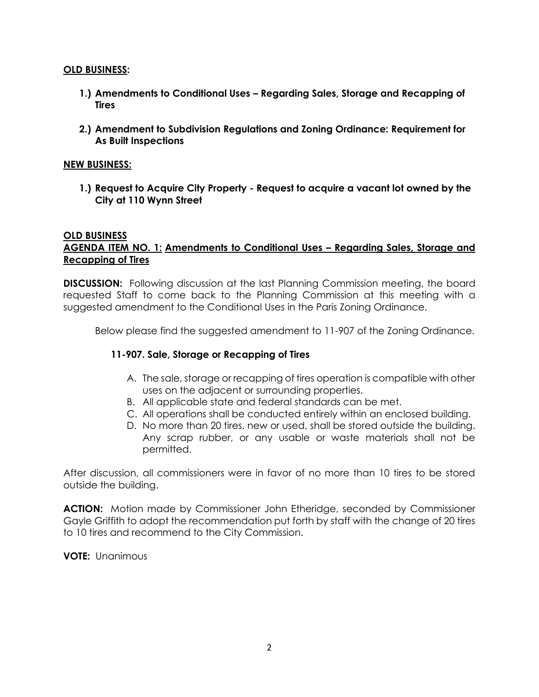### **OLD BUSINESS:**

- **1.) Amendments to Conditional Uses – Regarding Sales, Storage and Recapping of Tires**
- **2.) Amendment to Subdivision Regulations and Zoning Ordinance: Requirement for As Built Inspections**

### **NEW BUSINESS:**

**1.) Request to Acquire City Property - Request to acquire a vacant lot owned by the City at 110 Wynn Street**

### **OLD BUSINESS AGENDA ITEM NO. 1: Amendments to Conditional Uses – Regarding Sales, Storage and Recapping of Tires**

**DISCUSSION:** Following discussion at the last Planning Commission meeting, the board requested Staff to come back to the Planning Commission at this meeting with a suggested amendment to the Conditional Uses in the Paris Zoning Ordinance.

Below please find the suggested amendment to 11-907 of the Zoning Ordinance.

### **11-907. Sale, Storage or Recapping of Tires**

- A. The sale, storage or recapping of tires operation is compatible with other uses on the adjacent or surrounding properties.
- B. All applicable state and federal standards can be met.
- C. All operations shall be conducted entirely within an enclosed building.
- D. No more than 20 tires, new or used, shall be stored outside the building. Any scrap rubber, or any usable or waste materials shall not be permitted.

After discussion, all commissioners were in favor of no more than 10 tires to be stored outside the building.

**ACTION:** Motion made by Commissioner John Etheridge, seconded by Commissioner Gayle Griffith to adopt the recommendation put forth by staff with the change of 20 tires to 10 tires and recommend to the City Commission.

**VOTE:** Unanimous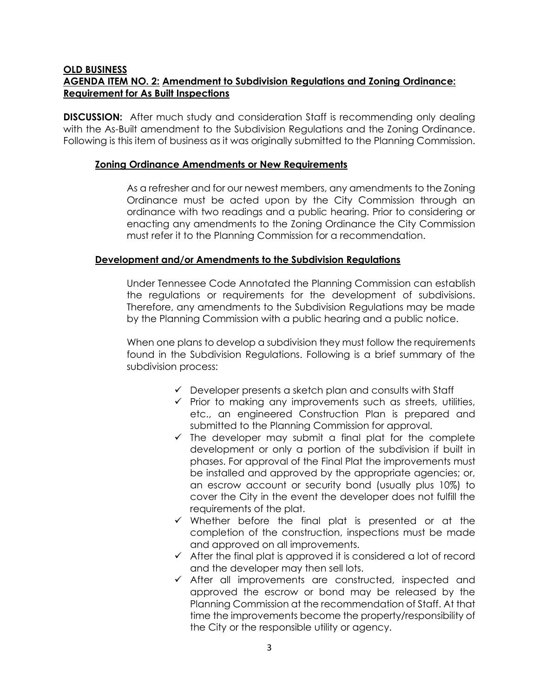# **OLD BUSINESS AGENDA ITEM NO. 2: Amendment to Subdivision Regulations and Zoning Ordinance: Requirement for As Built Inspections**

**DISCUSSION:** After much study and consideration Staff is recommending only dealing with the As-Built amendment to the Subdivision Regulations and the Zoning Ordinance. Following is this item of business as it was originally submitted to the Planning Commission.

# **Zoning Ordinance Amendments or New Requirements**

As a refresher and for our newest members, any amendments to the Zoning Ordinance must be acted upon by the City Commission through an ordinance with two readings and a public hearing. Prior to considering or enacting any amendments to the Zoning Ordinance the City Commission must refer it to the Planning Commission for a recommendation.

# **Development and/or Amendments to the Subdivision Regulations**

Under Tennessee Code Annotated the Planning Commission can establish the regulations or requirements for the development of subdivisions. Therefore, any amendments to the Subdivision Regulations may be made by the Planning Commission with a public hearing and a public notice.

When one plans to develop a subdivision they must follow the requirements found in the Subdivision Regulations. Following is a brief summary of the subdivision process:

- $\checkmark$  Developer presents a sketch plan and consults with Staff
- ✓ Prior to making any improvements such as streets, utilities, etc., an engineered Construction Plan is prepared and submitted to the Planning Commission for approval.
- $\checkmark$  The developer may submit a final plat for the complete development or only a portion of the subdivision if built in phases. For approval of the Final Plat the improvements must be installed and approved by the appropriate agencies; or, an escrow account or security bond (usually plus 10%) to cover the City in the event the developer does not fulfill the requirements of the plat.
- ✓ Whether before the final plat is presented or at the completion of the construction, inspections must be made and approved on all improvements.
- $\checkmark$  After the final plat is approved it is considered a lot of record and the developer may then sell lots.
- ✓ After all improvements are constructed, inspected and approved the escrow or bond may be released by the Planning Commission at the recommendation of Staff. At that time the improvements become the property/responsibility of the City or the responsible utility or agency.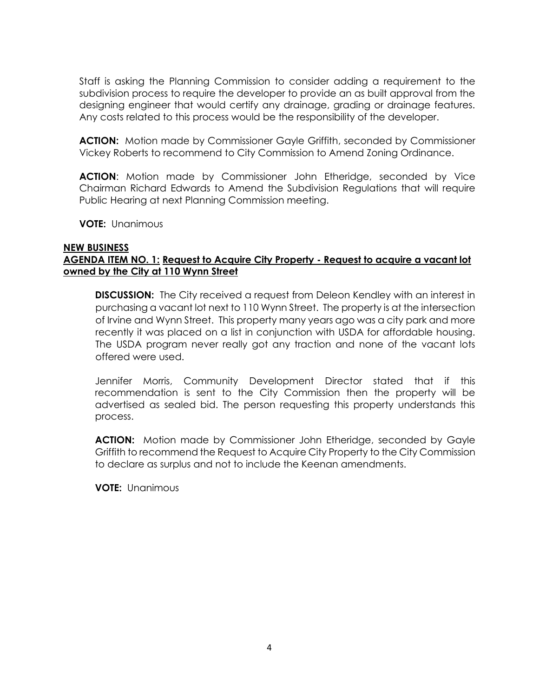Staff is asking the Planning Commission to consider adding a requirement to the subdivision process to require the developer to provide an as built approval from the designing engineer that would certify any drainage, grading or drainage features. Any costs related to this process would be the responsibility of the developer.

**ACTION:** Motion made by Commissioner Gayle Griffith, seconded by Commissioner Vickey Roberts to recommend to City Commission to Amend Zoning Ordinance.

**ACTION**: Motion made by Commissioner John Etheridge, seconded by Vice Chairman Richard Edwards to Amend the Subdivision Regulations that will require Public Hearing at next Planning Commission meeting.

**VOTE:** Unanimous

### **NEW BUSINESS AGENDA ITEM NO. 1: Request to Acquire City Property - Request to acquire a vacant lot owned by the City at 110 Wynn Street**

**DISCUSSION:** The City received a request from Deleon Kendley with an interest in purchasing a vacant lot next to 110 Wynn Street. The property is at the intersection of Irvine and Wynn Street. This property many years ago was a city park and more recently it was placed on a list in conjunction with USDA for affordable housing. The USDA program never really got any traction and none of the vacant lots offered were used.

Jennifer Morris, Community Development Director stated that if this recommendation is sent to the City Commission then the property will be advertised as sealed bid. The person requesting this property understands this process.

**ACTION:** Motion made by Commissioner John Etheridge, seconded by Gayle Griffith to recommend the Request to Acquire City Property to the City Commission to declare as surplus and not to include the Keenan amendments.

**VOTE:** Unanimous